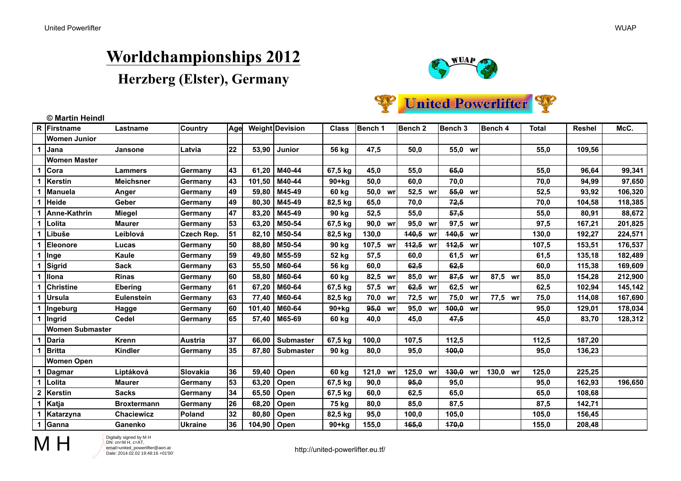# **Worldchampionships 2012**

### **Herzberg (Elster), Germany**





| R            | Firstname              | Lastname           | Country         | Age |        | <b>Weight Devision</b> | <b>Class</b> | Bench 1            | Bench <sub>2</sub> | Bench <sub>3</sub> | Bench 4  | <b>Total</b> | Reshel | McC.    |
|--------------|------------------------|--------------------|-----------------|-----|--------|------------------------|--------------|--------------------|--------------------|--------------------|----------|--------------|--------|---------|
|              | <b>Women Junior</b>    |                    |                 |     |        |                        |              |                    |                    |                    |          |              |        |         |
| 1            | <b>Jana</b>            | Jansone            | Latvia          | 22  | 53,90  | Junior                 | 56 kg        | 47,5               | 50,0               | 55,0 wr            |          | 55,0         | 109,56 |         |
|              | <b>Women Master</b>    |                    |                 |     |        |                        |              |                    |                    |                    |          |              |        |         |
|              | Cora                   | <b>Lammers</b>     | Germany         | 43  | 61,20  | M40-44                 | 67,5 kg      | 45,0               | 55,0               | 65,0               |          | 55,0         | 96,64  | 99,341  |
| 1            | Kerstin                | <b>Meichsner</b>   | Germany         | 43  | 101,50 | M40-44                 | $90+kg$      | 50.0               | 60,0               | 70,0               |          | 70,0         | 94,99  | 97,650  |
|              | Manuela                | Anger              | Germany         | 49  | 59,80  | M45-49                 | 60 kg        | 50,0 wr            | 52,5 wr            | 55,0 wr            |          | 52,5         | 93,92  | 106,320 |
|              | <b>Heide</b>           | Geber              | Germany         | 49  | 80,30  | M45-49                 | 82,5 kg      | 65.0               | 70,0               | 72,5               |          | 70,0         | 104,58 | 118,385 |
|              | Anne-Kathrin           | Miegel             | Germany         | 47  | 83,20  | M45-49                 | 90 kg        | 52,5               | 55,0               | 57,5               |          | 55,0         | 80,91  | 88,672  |
|              | Lolita                 | <b>Maurer</b>      | Germany         | 53  | 63,20  | M50-54                 | 67,5 kg      | 90,0 wr            | 95,0 wr            | 97,5 wr            |          | 97,5         | 167,21 | 201,825 |
| 1            | Libuše                 | Leiblová           | Czech Rep.      | 51  | 82,10  | M50-54                 | 82,5 kg      | 130,0              | 440,5 wr           | 440,5 wr           |          | 130,0        | 192.27 | 224,571 |
|              | Eleonore               | Lucas              | Germany         | 50  | 88,80  | M50-54                 | 90 kg        | 107,5 wr           | 442,5 wr           | 442,5 wr           |          | 107,5        | 153,51 | 176,537 |
| 1            | Inge                   | Kaule              | Germany         | 59  | 49,80  | M55-59                 | 52 kg        | 57.5               | 60,0               | 61,5 wr            |          | 61,5         | 135.18 | 182,489 |
|              | Sigrid                 | Sack               | Germany         | 63  | 55,50  | M60-64                 | 56 kg        | 60,0               | 62,5               | 62,5               |          | 60,0         | 115,38 | 169,609 |
|              | <b>Ilona</b>           | <b>Rinas</b>       | Germany         | 60  | 58,80  | M60-64                 | 60 kg        | 82,5 wr            | 85,0<br>wr         | 87,5 wr            | 87,5 wr  | 85,0         | 154,28 | 212,900 |
|              | Christine              | <b>Ebering</b>     | Germany         | 61  | 67,20  | M60-64                 | 67,5 kg      | 57,5 wr            | 62,5<br>wr         | 62,5 wr            |          | 62,5         | 102,94 | 145,142 |
|              | <b>Ursula</b>          | <b>Eulenstein</b>  | Germany         | 63  | 77,40  | M60-64                 | 82,5 kg      | 70,0 wr            | 72,5 wr            | 75,0 wr            | 77.5 wr  | 75,0         | 114,08 | 167,690 |
|              | Ingeburg               | Hagge              | Germany         | 60  | 101,40 | M60-64                 | $90+kg$      | <del>95,0</del> wr | 95,0 wr            | 400,0 wr           |          | 95,0         | 129,01 | 178,034 |
| 1            | Ingrid                 | <b>Cedel</b>       | Germany         | 65  | 57,40  | M65-69                 | 60 kg        | 40,0               | 45,0               | 47,5               |          | 45,0         | 83,70  | 128,312 |
|              | <b>Women Submaster</b> |                    |                 |     |        |                        |              |                    |                    |                    |          |              |        |         |
|              | Daria                  | Krenn              | Austria         | 37  | 66,00  | <b>Submaster</b>       | 67,5 kg      | 100,0              | 107,5              | 112,5              |          | 112,5        | 187,20 |         |
| 1            | <b>Britta</b>          | <b>Kindler</b>     | Germany         | 35  | 87,80  | <b>Submaster</b>       | 90 kg        | 80,0               | 95,0               | 400,0              |          | 95,0         | 136,23 |         |
|              | <b>Women Open</b>      |                    |                 |     |        |                        |              |                    |                    |                    |          |              |        |         |
| 1            | Dagmar                 | Liptáková          | Slovakia        | 36  | 59,40  | Open                   | 60 kg        | 121,0 wr           | 125,0 wr           | 430,0 wr           | 130,0 wr | 125,0        | 225,25 |         |
|              | Lolita                 | Maurer             | Germany         | 53  | 63,20  | Open                   | 67,5 kg      | 90,0               | 95,0               | 95,0               |          | 95,0         | 162,93 | 196,650 |
| $\mathbf{2}$ | Kerstin                | <b>Sacks</b>       | Germany         | 34  | 65,50  | Open                   | 67,5 kg      | 60.0               | 62,5               | 65,0               |          | 65,0         | 108,68 |         |
|              | Katja                  | <b>Broxtermann</b> | ∣Germany        | 26  | 68,20  | Open                   | 75 kg        | 80,0               | 85,0               | 87,5               |          | 87,5         | 142,71 |         |
|              | Katarzyna              | <b>Chaciewicz</b>  | Poland          | 32  | 80,80  | Open                   | 82,5 kg      | 95,0               | 100,0              | 105,0              |          | 105,0        | 156,45 |         |
| 1            | <b>Ganna</b>           | Ganenko            | <b>IUkraine</b> | 36  | 104,90 | Open                   | $90+kg$      | 155,0              | 165,0              | 470,0              |          | 155,0        | 208,48 |         |



Digitally signed by M H  $CDN: cn=M H$ ,  $c=AT$ , email=united\_powerlifter@aon.at Date: 2014.02.02 19:48:16 +01'00'

http://united-powerlifter.eu.tf/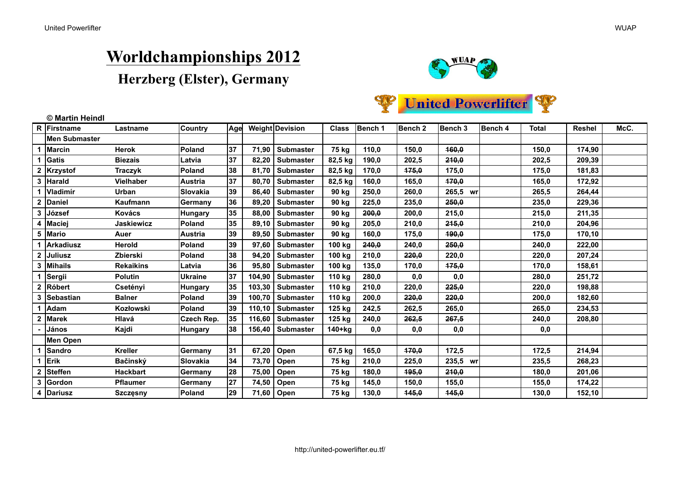# **Worldchampionships 2012**





|   | R Firstname   | Lastname          | <b>Country</b>  | Age |        | Weight Devision  | <b>Class</b> | Bench 1 | Bench <sub>2</sub> | Bench 3  | Bench 4 | <b>Total</b> | <b>Reshel</b> | McC. |
|---|---------------|-------------------|-----------------|-----|--------|------------------|--------------|---------|--------------------|----------|---------|--------------|---------------|------|
|   | Men Submaster |                   |                 |     |        |                  |              |         |                    |          |         |              |               |      |
|   | Marcin        | <b>Herok</b>      | Poland          | 37  | 71.90  | Submaster        | 75 kg        | 110,0   | 150,0              | 160,0    |         | 150,0        | 174,90        |      |
|   | Gatis         | <b>Biezais</b>    | Latvia          | 37  | 82,20  | <b>Submaster</b> | 82,5 kg      | 190,0   | 202,5              | 240,0    |         | 202,5        | 209,39        |      |
|   | 2 Krzystof    | <b>Traczyk</b>    | Poland          | 38  | 81,70  | <b>Submaster</b> | 82,5 kg      | 170,0   | 175,0              | 175,0    |         | 175,0        | 181,83        |      |
|   | Harald        | <b>Vielhaber</b>  | <b>Austria</b>  | 37  | 80,70  | <b>Submaster</b> | 82,5 kg      | 160,0   | 165,0              | 470,0    |         | 165,0        | 172,92        |      |
|   | Vladimír      | <b>Urban</b>      | Slovakia        | 39  | 86,40  | <b>Submaster</b> | 90 kg        | 250,0   | 260,0              | 265,5 wr |         | 265,5        | 264,44        |      |
|   | Daniel        | <b>Kaufmann</b>   | Germany         | 36  | 89,20  | <b>Submaster</b> | 90 kg        | 225,0   | 235,0              | 250,0    |         | 235,0        | 229,36        |      |
|   | ∣József       | Kovács            | <b>Hungary</b>  | 35  | 88,00  | <b>Submaster</b> | 90 kg        | 200,0   | 200,0              | 215,0    |         | 215,0        | 211,35        |      |
|   | <b>Maciej</b> | <b>Jaskiewicz</b> | <b>Poland</b>   | 35  | 89.10  | <b>Submaster</b> | 90 kg        | 205,0   | 210,0              | 215,0    |         | 210.0        | 204,96        |      |
| 5 | <b>IMario</b> | Auer              | Austria         | 39  | 89,50  | <b>Submaster</b> | 90 kg        | 160,0   | 175,0              | 490,0    |         | 175,0        | 170,10        |      |
|   | Arkadiusz     | <b>Herold</b>     | <b>Poland</b>   | 39  | 97.60  | <b>Submaster</b> | 100 kg       | 240,0   | 240,0              | 250,0    |         | 240,0        | 222,00        |      |
|   | Juliusz       | Zbierski          | Poland          | 38  | 94,20  | <b>Submaster</b> | 100 kg       | 210,0   | 220,0              | 220,0    |         | 220,0        | 207,24        |      |
|   | Mihails       | <b>Rekaikins</b>  | Latvia          | 36  | 95,80  | <b>Submaster</b> | 100 kg       | 135,0   | 170,0              | 175,0    |         | 170,0        | 158,61        |      |
|   | Sergii        | <b>Polutin</b>    | <b>Ukraine</b>  | 37  | 104.90 | <b>Submaster</b> | 110 kg       | 280,0   | 0,0                | 0,0      |         | 280,0        | 251.72        |      |
|   | Róbert        | Csetényi          | Hungary         | 35  | 103,30 | <b>Submaster</b> | 110 kg       | 210,0   | 220,0              | 225,0    |         | 220,0        | 198,88        |      |
|   | 3 Sebastian   | <b>Balner</b>     | Poland          | 39  | 100,70 | <b>Submaster</b> | 110 kg       | 200,0   | 220,0              | 220,0    |         | 200,0        | 182,60        |      |
|   | Adam          | Kozłowski         | <b>Poland</b>   | 39  | 110,10 | <b>Submaster</b> | 125 kg       | 242,5   | 262,5              | 265,0    |         | 265.0        | 234,53        |      |
|   | <b>Marek</b>  | Hlavá             | Czech Rep.      | 35  | 116,60 | <b>Submaster</b> | 125 kg       | 240,0   | 262,5              | 267,5    |         | 240,0        | 208,80        |      |
|   | János         | Kajdi             | Hungary         | 38  | 156,40 | <b>Submaster</b> | 140+kg       | 0,0     | 0,0                | 0,0      |         | 0,0          |               |      |
|   | Men Open      |                   |                 |     |        |                  |              |         |                    |          |         |              |               |      |
|   | <b>Sandro</b> | <b>Kreller</b>    | Germany         | 31  | 67,20  | Open             | 67,5 kg      | 165,0   | 470,0              | 172,5    |         | 172,5        | 214,94        |      |
|   | <b>Erik</b>   | <b>Bačinský</b>   | <b>Slovakia</b> | 34  | 73,70  | Open             | 75 kg        | 210,0   | 225,0              | 235,5 wr |         | 235,5        | 268,23        |      |
| 2 | Steffen       | <b>Hackbart</b>   | Germany         | 28  | 75,00  | Open             | 75 kg        | 180,0   | 195,0              | 210,0    |         | 180,0        | 201,06        |      |
| 3 | Gordon        | <b>Pflaumer</b>   | Germany         | 27  | 74,50  | Open             | 75 kg        | 145,0   | 150,0              | 155,0    |         | 155,0        | 174,22        |      |
|   | 4 Dariusz     | <b>Szczęsny</b>   | Poland          | 29  |        | 71,60   Open     | 75 kg        | 130,0   | 445,0              | 445,0    |         | 130,0        | 152,10        |      |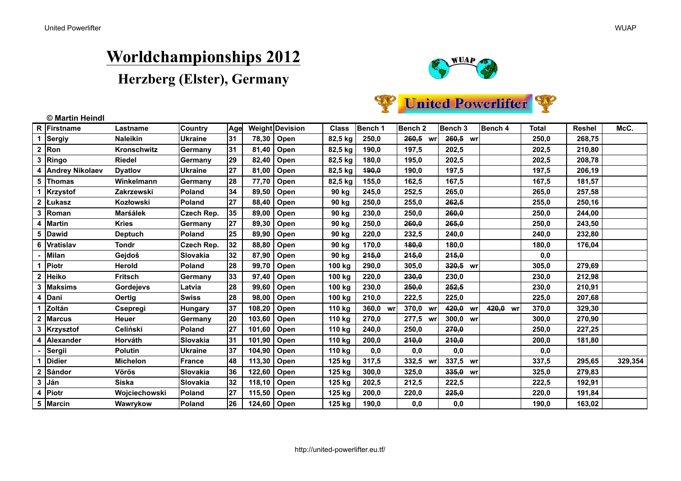# **Worldchampionships 2012**





|   | R Firstname       | Lastname         | Country         | Age |               | <b>Weight Devision</b> | <b>Class</b> | Bench 1      | Bench 2  | Bench 3    | Bench 4  | <b>Total</b> | Reshel | McC.    |
|---|-------------------|------------------|-----------------|-----|---------------|------------------------|--------------|--------------|----------|------------|----------|--------------|--------|---------|
|   | Sergiy            | <b>Naleikin</b>  | <b>Ukraine</b>  | 31  | 78,30         | Open                   | 82,5 kg      | 250,0        | 260,5 wr | 260,5 wr   |          | 250,0        | 268,75 |         |
|   | $2 \mid$ Ron      | Kronschwitz      | Germany         | 31  | 81,40         | Open                   | 82,5 kg      | 190,0        | 197,5    | 202,5      |          | 202,5        | 210,80 |         |
| 3 | <b>Ringo</b>      | <b>Riedel</b>    | Germany         | 29  | 82,40         | Open                   | 82,5 kg      | 180,0        | 195,0    | 202,5      |          | 202,5        | 208,78 |         |
|   | 4 Andrey Nikolaev | <b>Dyatiov</b>   | Ukraine         | 27  | 81,00         | Open                   | 82,5 kg      | <b>190,0</b> | 190,0    | 197,5      |          | 197,5        | 206,19 |         |
|   | 5 Thomas          | Winkelmann       | Germany         | 28  | 77,70         | Open                   | 82,5 kg      | 155,0        | 162,5    | 167,5      |          | 167,5        | 181,57 |         |
|   | Krzystof          | Zakrzewski       | <b>Poland</b>   | 34  | 89,50         | Open                   | 90 kg        | 245,0        | 252,5    | 265,0      |          | 265,0        | 257,58 |         |
|   | <b>Lukasz</b>     | Kozłowski        | <b>Poland</b>   | 27  | 88,40         | Open                   | 90 kg        | 250,0        | 255,0    | 262,5      |          | 255.0        | 250,16 |         |
| 3 | Roman             | <b>Marśálek</b>  | Czech Rep.      | 35  | 89,00         | Open                   | 90 kg        | 230,0        | 250,0    | 260,0      |          | 250,0        | 244,00 |         |
|   | 4  Martin         | <b>Kries</b>     | Germany         | 27  | 89,30         | Open                   | 90 kg        | 250,0        | 260,0    | 265,0      |          | 250,0        | 243,50 |         |
|   | 5 Dawid           | <b>Deptuch</b>   | Poland          | 25  | 89,90         | Open                   | 90 kg        | 220,0        | 232,5    | 240,0      |          | 240,0        | 232,80 |         |
|   | 6 Vratislav       | Tondr            | Czech Rep.      | 32  | 88,80         | Open                   | 90 kg        | 170,0        | 480,0    | 180,0      |          | 180,0        | 176.04 |         |
|   | Milan             | Gejdoš           | Slovakia        | 32  | 87,90         | Open                   | 90 kg        | 245,0        | 245,0    | 245,0      |          | 0,0          |        |         |
|   | <b>Piotr</b>      | <b>Herold</b>    | <b>Poland</b>   | 28  | 99,70         | Open                   | 100 kg       | 290.0        | 305,0    | 320,5 wr   |          | 305,0        | 279.69 |         |
|   | 2 Heiko           | <b>Fritsch</b>   | Germany         | 33  | 97,40         | Open                   | 100 kg       | 220,0        | 230,0    | 230,0      |          | 230,0        | 212.98 |         |
|   | 3   Maksims       | <b>Gordejevs</b> | Latvia          | 28  | 99,60         | Open                   | 100 kg       | 230,0        | 250,0    | 252,5      |          | 230,0        | 210,91 |         |
|   | 4  Dani           | <b>Oertig</b>    | <b>Swiss</b>    | 28  | 98,00         | Open                   | 100 kg       | 210,0        | 222,5    | 225,0      |          | 225,0        | 207,68 |         |
|   | Zoltán            | Csepregi         | Hungary         | 37  | 108,20        | Open                   | 110 kg       | 360,0 wr     | 370,0 wr | 420,0 wr   | 420,0 wr | 370,0        | 329,30 |         |
|   | <b>Marcus</b>     | Heuer            | Germany         | 20  | 103,60        | Open                   | 110 kg       | 270,0        | 277,5 wr | 300,0 wr   |          | 300,0        | 270,90 |         |
|   | 3 Krzysztof       | Celiński         | <b>Poland</b>   | 27  | 101,60        | Open                   | 110 kg       | 240,0        | 250,0    | 270,0      |          | 250,0        | 227,25 |         |
|   | 4 Alexander       | Horváth          | Slovakia        | 31  | 101,90        | Open                   | 110 kg       | 200,0        | 240,0    | 240,0      |          | 200,0        | 181,80 |         |
|   | Sergii            | <b>Polutin</b>   | Ukraine         | 37  | 104,90        | Open                   | 110 kg       | 0,0          | 0,0      | 0,0        |          | 0,0          |        |         |
|   | <b>Didier</b>     | <b>Michelon</b>  | France          | 48  | 113,30        | Open                   | 125 kg       | 317,5        | 332,5 wr | 337,5 wr   |          | 337,5        | 295,65 | 329,354 |
|   | Sándor            | <b>Vörös</b>     | Slovakia        | 36  | 122,60        | Open                   | 125 kg       | 300,0        | 325,0    | $335.0$ wr |          | 325,0        | 279,83 |         |
|   | 3 Ján             | <b>Siska</b>     | <b>Slovakia</b> | 32  | 118,10        | Open                   | 125 kg       | 202,5        | 212,5    | 222,5      |          | 222,5        | 192,91 |         |
|   | 4   Piotr         | Wojciechowski    | <b>Poland</b>   | 27  | 115,50        | Open                   | 125 kg       | 200,0        | 220,0    | 225,0      |          | 220,0        | 191,84 |         |
|   | 5   Marcin        | Wawrykow         | <b>Poland</b>   | 26  | 124,60   Open |                        | 125 kg       | 190,0        | 0,0      | 0,0        |          | 190,0        | 163,02 |         |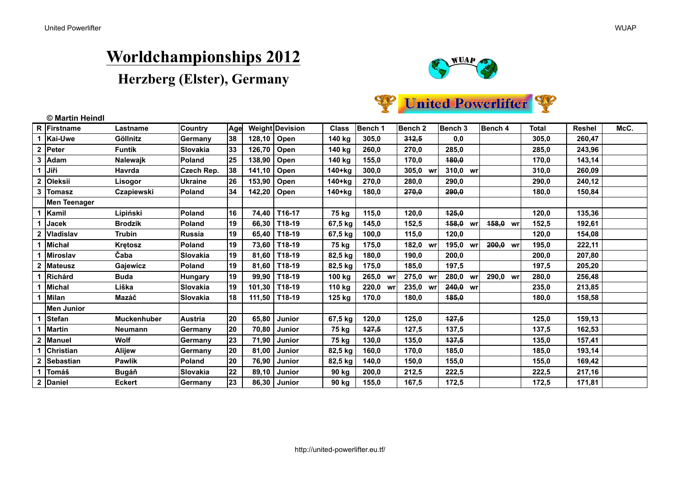### **Worldchampionships 2012**





|   | R Firstname         | Lastname           | <b>Country</b>   | Age |        | <b>Weight Devision</b> | <b>Class</b> | Bench 1  | Bench <sub>2</sub> | Bench 3      | Bench 4             | Total | Reshel | McC. |
|---|---------------------|--------------------|------------------|-----|--------|------------------------|--------------|----------|--------------------|--------------|---------------------|-------|--------|------|
|   | <b>Kai-Uwe</b>      | Göllnitz           | Germany          | 38  | 128,10 | Open                   | 140 kg       | 305,0    | 312,5              | 0,0          |                     | 305,0 | 260,47 |      |
|   | Peter               | Funtík             | <b>Slovakia</b>  | 33  | 126,70 | Open                   | 140 kg       | 260,0    | 270,0              | 285,0        |                     | 285,0 | 243,96 |      |
| 3 | Adam                | <b>Nalewajk</b>    | <b>Poland</b>    | 25  | 138,90 | Open                   | 140 kg       | 155,0    | 170,0              | <b>180.0</b> |                     | 170,0 | 143,14 |      |
|   | Jiří                | Havrda             | Czech Rep.       | 38  | 141,10 | Open                   | $140+kg$     | 300,0    | 305,0 wr           | 310.0 wr     |                     | 310.0 | 260,09 |      |
|   | Oleksii             | Lisogor            | Ukraine          | 26  | 153,90 | Open                   | 140+kg       | 270,0    | 280,0              | 290,0        |                     | 290,0 | 240,12 |      |
|   | 3 Tomasz            | Czapiewski         | <b>Poland</b>    | 34  | 142,20 | Open                   | 140+kg       | 180,0    | 270,0              | 290,0        |                     | 180,0 | 150,84 |      |
|   | <b>Men Teenager</b> |                    |                  |     |        |                        |              |          |                    |              |                     |       |        |      |
|   | Kamil               | Lipiński           | Poland           | 16  | 74.40  | T16-17                 | 75 ka        | 115.0    | 120,0              | 425,0        |                     | 120.0 | 135,36 |      |
|   | Jacek               | <b>Brodzik</b>     | Poland           | 19  | 66,30  | T18-19                 | 67,5 kg      | 145,0    | 152,5              | 458,0 wr     | <del>158,0</del> wr | 152,5 | 192,61 |      |
|   | <b>Vladislav</b>    | Trubin             | Russia           | 19  | 65.40  | T18-19                 | 67,5 kg      | 100.0    | 115,0              | 120.0        |                     | 120.0 | 154.08 |      |
|   | Michał              | <b>Kretosz</b>     | Poland           | 19  | 73,60  | T18-19                 | 75 kg        | 175,0    | 182,0 wr           | 195,0 wr     | 200,0 wr            | 195,0 | 222,11 |      |
|   | <b>Miroslav</b>     | Čaba               | <b>Slovakia</b>  | 19  | 81,60  | T18-19                 | 82,5 kg      | 180,0    | 190,0              | 200,0        |                     | 200,0 | 207,80 |      |
|   | 2 Mateusz           | Gajewicz           | <b>Poland</b>    | 19  | 81,60  | T18-19                 | 82,5 kg      | 175,0    | 185,0              | 197,5        |                     | 197,5 | 205,20 |      |
|   | Richárd             | <b>Buda</b>        | <b>Hungary</b>   | 19  | 99,90  | T18-19                 | 100 kg       | 265,0 WI | 275,0 wr           | 280,0 wr     | 290,0 wr            | 280,0 | 256,48 |      |
|   | Michal              | Liška              | <b>ISlovakia</b> | 19  | 101,30 | T18-19                 | 110 kg       | 220,0 wr | 235,0 wr           | 240.0 wr     |                     | 235,0 | 213.85 |      |
|   | Milan               | Mazáč              | <b>Slovakia</b>  | 18  | 111,50 | T18-19                 | 125 kg       | 170.0    | 180,0              | <b>185.0</b> |                     | 180.0 | 158.58 |      |
|   | <b>Men Junior</b>   |                    |                  |     |        |                        |              |          |                    |              |                     |       |        |      |
|   | <b>Stefan</b>       | <b>Muckenhuber</b> | <b>Austria</b>   | 20  | 65,80  | Junior                 | 67,5 kg      | 120,0    | 125,0              | 127,5        |                     | 125,0 | 159,13 |      |
|   | Martin              | <b>Neumann</b>     | Germany          | 20  | 70,80  | Junior                 | 75 kg        | 427,5    | 127,5              | 137,5        |                     | 137,5 | 162,53 |      |
|   | <b>Manuel</b>       | Wolf               | Germany          | 23  | 71.90  | <b>Junior</b>          | 75 kg        | 130.0    | 135,0              | 137.5        |                     | 135,0 | 157,41 |      |
|   | Christian           | <b>Alijew</b>      | <b>Germany</b>   | 20  | 81,00  | <b>Junior</b>          | 82,5 kg      | 160,0    | 170,0              | 185,0        |                     | 185,0 | 193,14 |      |
|   | 2 Sebastian         | <b>Pawlik</b>      | Poland           | 20  | 76,90  | Junior                 | 82,5 kg      | 140,0    | 150,0              | 155,0        |                     | 155,0 | 169,42 |      |
|   | Tomáš               | Bugáň              | <b>Slovakia</b>  | 22  | 89,10  | Junior                 | 90 kg        | 200,0    | 212,5              | 222,5        |                     | 222,5 | 217,16 |      |
|   | 2 Daniel            | <b>Eckert</b>      | Germany          | 23  | 86,30  | Junior                 | 90 kg        | 155,0    | 167,5              | 172,5        |                     | 172,5 | 171,81 |      |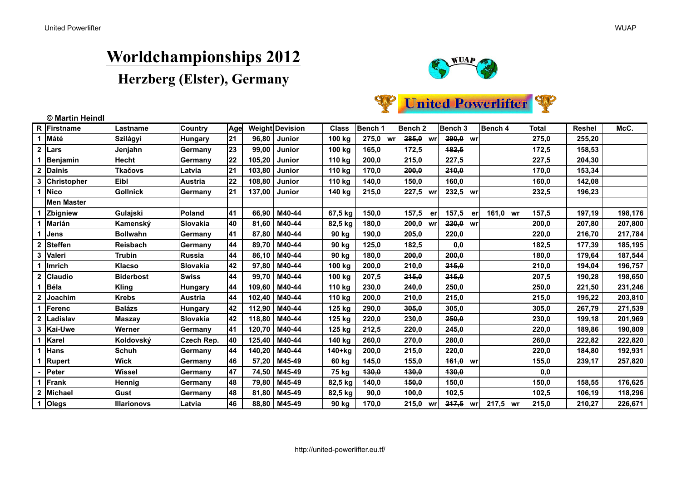# **Worldchampionships 2012**





|                  | © Martin Heindl |                    |                  |     |        |                        |              |          |                    |             |          |              |               |         |
|------------------|-----------------|--------------------|------------------|-----|--------|------------------------|--------------|----------|--------------------|-------------|----------|--------------|---------------|---------|
|                  | R Firstname     | Lastname           | <b>Country</b>   | Age |        | <b>Weight Devision</b> | <b>Class</b> | Bench 1  | Bench 2            | Bench 3     | Bench 4  | <b>Total</b> | <b>Reshel</b> | McC.    |
| 1                | Máté            | Szilágyi           | <b>Hungary</b>   | 21  | 96,80  | Junior                 | 100 kg       | 275,0 wr | $285,0$ wr         | 290,0 wr    |          | 275,0        | 255,20        |         |
| $\mathbf{2}$     | Lars            | Jenjahn            | Germany          | 23  | 99,00  | <b>Junior</b>          | 100 kg       | 165,0    | 172,5              | 182,5       |          | 172,5        | 158,53        |         |
|                  | Benjamin        | Hecht              | Germany          | 22  | 105,20 | Junior                 | 110 kg       | 200,0    | 215,0              | 227,5       |          | 227,5        | 204,30        |         |
| $\boldsymbol{2}$ | Dainis          | <b>Tkačovs</b>     | Latvia           | 21  | 103,80 | Junior                 | 110 kg       | 170,0    | 200.0              | 210,0       |          | 170,0        | 153,34        |         |
|                  | 3 Christopher   | Eibl               | <b>Austria</b>   | 22  | 108,80 | <b>Junior</b>          | 110 kg       | 140,0    | 150,0              | 160,0       |          | 160,0        | 142,08        |         |
|                  | <b>Nico</b>     | <b>Gollnick</b>    | Germany          | 21  | 137,00 | Junior                 | 140 kg       | 215,0    | 227,5 wr           | 232,5 wr    |          | 232,5        | 196,23        |         |
|                  | Men Master      |                    |                  |     |        |                        |              |          |                    |             |          |              |               |         |
|                  | Zbigniew        | Gulajski           | Poland           | 41  | 66,90  | M40-44                 | 67,5 kg      | 150,0    | <b>457,5</b><br>er | 157,5<br>er | 464,0 wr | 157,5        | 197,19        | 198,176 |
|                  | Marián          | Kamenský           | Slovakia         | 40  | 81,60  | M40-44                 | 82,5 kg      | 180,0    | 200,0<br>wr        | $220,0$ wr  |          | 200,0        | 207,80        | 207,800 |
|                  | Jens            | <b>Bollwahn</b>    | Germany          | 41  | 87,80  | M40-44                 | 90 kg        | 190,0    | 205,0              | 220,0       |          | 220,0        | 216,70        | 217,784 |
|                  | Steffen         | <b>Reisbach</b>    | Germany          | 44  | 89,70  | M40-44                 | 90 kg        | 125,0    | 182,5              | 0,0         |          | 182,5        | 177,39        | 185,195 |
| 3                | Valeri          | <b>Trubin</b>      | Russia           | 44  | 86,10  | M40-44                 | 90 kg        | 180,0    | 200,0              | 200,0       |          | 180,0        | 179,64        | 187,544 |
|                  | ∣Imrich         | <b>Klacso</b>      | <b>ISlovakia</b> | 42  | 97,80  | M40-44                 | 100 kg       | 200,0    | 210.0              | 245,0       |          | 210,0        | 194,04        | 196,757 |
|                  | <b>Claudio</b>  | <b>Biderbost</b>   | <b>Swiss</b>     | 44  | 99,70  | M40-44                 | 100 kg       | 207,5    | 245,0              | 245,0       |          | 207,5        | 190,28        | 198,650 |
|                  | Béla            | <b>Kling</b>       | Hungary          | 44  | 109,60 | M40-44                 | 110 kg       | 230,0    | 240,0              | 250,0       |          | 250,0        | 221,50        | 231,246 |
| $\mathbf{2}$     | Joachim         | <b>Krebs</b>       | <b>Austria</b>   | 44  | 102,40 | M40-44                 | 110 kg       | 200,0    | 210,0              | 215,0       |          | 215,0        | 195,22        | 203,810 |
|                  | Ferenc          | <b>Balázs</b>      | <b>Hungary</b>   | 42  | 112,90 | M40-44                 | 125 kg       | 290,0    | 305,0              | 305,0       |          | 305,0        | 267,79        | 271,539 |
|                  | Ladislav        | <b>Maszay</b>      | Slovakia         | 42  | 118,80 | M40-44                 | 125 kg       | 220,0    | 230,0              | 250,0       |          | 230,0        | 199,18        | 201,969 |
|                  | 3   Kai-Uwe     | Werner             | Germany          | 41  | 120,70 | M40-44                 | 125 kg       | 212,5    | 220,0              | 245,0       |          | 220,0        | 189,86        | 190,809 |
|                  | Karel           | Koldovský          | Czech Rep.       | 40  | 125,40 | M40-44                 | 140 kg       | 260,0    | 270,0              | 280,0       |          | 260,0        | 222,82        | 222,820 |
|                  | Hans            | Schuh              | Germany          | 44  | 140,20 | M40-44                 | $140+kg$     | 200,0    | 215,0              | 220,0       |          | 220,0        | 184,80        | 192,931 |
|                  | Rupert          | <b>Wick</b>        | Germany          | 46  | 57,20  | M45-49                 | 60 kg        | 145,0    | 155,0              | 464,0 wr    |          | 155,0        | 239,17        | 257,820 |
|                  | lPeter          | Wissel             | Germany          | 47  | 74,50  | M45-49                 | 75 kg        | 130,0    | 130.0              | 130,0       |          | 0,0          |               |         |
|                  | Frank           | Hennig             | Germany          | 48  | 79,80  | M45-49                 | 82,5 kg      | 140,0    | 450,0              | 150,0       |          | 150,0        | 158,55        | 176,625 |
| $\mathbf{2}$     | <b>Michael</b>  | Gust               | Germany          | 48  | 81,80  | M45-49                 | 82,5 kg      | 90,0     | 100,0              | 102,5       |          | 102,5        | 106,19        | 118,296 |
| 1                | <b>Olegs</b>    | <b>Illarionovs</b> | Latvia           | 46  | 88,80  | M45-49                 | 90 kg        | 170,0    | 215,0 wr           | $247,5$ wr  | 217,5 wr | 215,0        | 210,27        | 226,671 |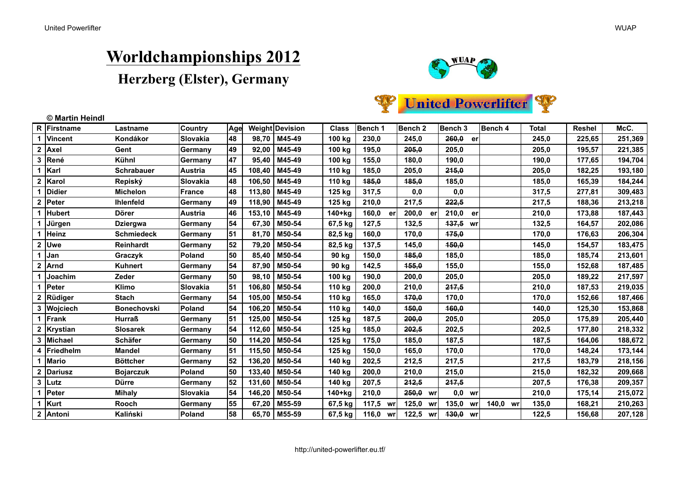### **Worldchampionships 2012**





|              | © Martin Heindl |                    |                  |     |        |                        |              |             |             |                    |          |              |               |         |
|--------------|-----------------|--------------------|------------------|-----|--------|------------------------|--------------|-------------|-------------|--------------------|----------|--------------|---------------|---------|
|              | R Firstname     | Lastname           | Country          | Age |        | <b>Weight Devision</b> | <b>Class</b> | Bench 1     | Bench 2     | Bench <sub>3</sub> | Bench 4  | <b>Total</b> | <b>Reshel</b> | McC.    |
| 1            | <b>Vincent</b>  | Kondákor           | <b>Slovakia</b>  | 48  | 98,70  | M45-49                 | 100 kg       | 230,0       | 245,0       | 260,0<br>er        |          | 245,0        | 225,65        | 251,369 |
| $\mathbf{2}$ | Axel            | Gent               | Germany          | 49  | 92,00  | M45-49                 | 100 kg       | 195.0       | 205.0       | 205.0              |          | 205.0        | 195,57        | 221,385 |
| 3            | René            | Kühnl              | Germany          | 47  | 95,40  | M45-49                 | 100 kg       | 155,0       | 180,0       | 190,0              |          | 190,0        | 177,65        | 194,704 |
| 1            | Karl            | <b>Schrabauer</b>  | <b>Austria</b>   | 45  | 108,40 | M45-49                 | 110 kg       | 185,0       | 205,0       | 245,0              |          | 205,0        | 182,25        | 193,180 |
| $\mathbf{2}$ | Karol           | Repiský            | <b>Slovakia</b>  | 48  | 106,50 | M45-49                 | 110 kg       | 185.0       | 185,0       | 185,0              |          | 185,0        | 165,39        | 184,244 |
|              | <b>Didier</b>   | <b>Michelon</b>    | France           | 48  | 113,80 | M45-49                 | 125 kg       | 317,5       | 0,0         | 0,0                |          | 317,5        | 277,81        | 309,483 |
| $\mathbf{2}$ | Peter           | <b>Ihlenfeld</b>   | Germany          | 49  | 118,90 | M45-49                 | 125 kg       | 210,0       | 217,5       | 222,5              |          | 217,5        | 188,36        | 213,218 |
|              | Hubert          | <b>Dörer</b>       | <b>Austria</b>   | 46  | 153,10 | M45-49                 | $140+kg$     | 160,0<br>er | 200,0<br>er | 210,0<br>er        |          | 210,0        | 173,88        | 187,443 |
|              | Jürgen          | <b>Dziergwa</b>    | Germany          | 54  | 67,30  | M50-54                 | 67,5 kg      | 127,5       | 132,5       | 437,5 wr           |          | 132,5        | 164,57        | 202,086 |
| 1            | Heinz           | <b>Schmiedeck</b>  | Germany          | 51  | 81,70  | M50-54                 | 82,5 kg      | 160,0       | 170,0       | 175,0              |          | 170,0        | 176,63        | 206,304 |
| $\mathbf 2$  | Uwe             | <b>Reinhardt</b>   | Germany          | 52  | 79,20  | M50-54                 | 82,5 kg      | 137,5       | 145,0       | 450,0              |          | 145,0        | 154,57        | 183,475 |
| 1            | Jan             | Graczyk            | Poland           | 50  | 85,40  | M50-54                 | 90 kg        | 150.0       | 485,0       | 185,0              |          | 185,0        | 185,74        | 213,601 |
| $\mathbf{2}$ | Arnd            | Kuhnert            | Germany          | 54  | 87,90  | M50-54                 | 90 kg        | 142,5       | 155,0       | 155,0              |          | 155,0        | 152,68        | 187,485 |
| 1            | Joachim         | Zeder              | Germany          | 50  | 98,10  | M50-54                 | 100 kg       | 190,0       | 200,0       | 205,0              |          | 205,0        | 189,22        | 217,597 |
| 1            | Peter           | Klimo              | <b>ISlovakia</b> | 51  | 106,80 | M50-54                 | 110 kg       | 200,0       | 210,0       | 247,5              |          | 210,0        | 187,53        | 219,035 |
| $\mathbf 2$  | Rüdiger         | <b>Stach</b>       | Germany          | 54  | 105,00 | M50-54                 | 110 kg       | 165,0       | 470,0       | 170,0              |          | 170,0        | 152,66        | 187,466 |
| 3            | Wojciech        | <b>Bonechovski</b> | Poland           | 54  | 106,20 | M50-54                 | 110 kg       | 140.0       | 450.0       | 160.0              |          | 140.0        | 125.30        | 153,868 |
| 1            | Frank           | <b>Hurraß</b>      | Germany          | 51  | 125,00 | M50-54                 | 125 kg       | 187,5       | 200,0       | 205,0              |          | 205,0        | 175,89        | 205,440 |
| $\mathbf 2$  | Krystian        | <b>Slosarek</b>    | Germany          | 54  | 112,60 | M50-54                 | 125 kg       | 185,0       | 202,5       | 202,5              |          | 202,5        | 177,80        | 218,332 |
| 3            | <b>Michael</b>  | Schäfer            | Germany          | 50  | 114,20 | M50-54                 | 125 kg       | 175,0       | 185,0       | 187,5              |          | 187,5        | 164,06        | 188,672 |
| 4            | Friedhelm       | <b>Mandel</b>      | Germany          | 51  | 115,50 | M50-54                 | 125 kg       | 150,0       | 165,0       | 170,0              |          | 170,0        | 148,24        | 173,144 |
| 1            | <b>Mario</b>    | <b>Böttcher</b>    | Germany          | 52  | 136,20 | M50-54                 | 140 kg       | 202,5       | 212,5       | 217,5              |          | 217,5        | 183,79        | 218,156 |
| $\mathbf{2}$ | Dariusz         | <b>Bojarczuk</b>   | Poland           | 50  | 133,40 | M50-54                 | 140 kg       | 200,0       | 210,0       | 215,0              |          | 215,0        | 182,32        | 209,668 |
| $\mathbf{3}$ | Lutz            | <b>Dürre</b>       | Germany          | 52  | 131,60 | M50-54                 | 140 kg       | 207,5       | 242,5       | 247,5              |          | 207,5        | 176,38        | 209,357 |
| 1            | Peter           | <b>Mihaly</b>      | <b>ISlovakia</b> | 54  | 146,20 | M50-54                 | $140+kg$     | 210,0       | 250,0<br>wr | $0,0$ wr           |          | 210,0        | 175,14        | 215,072 |
| 1            | Kurt            | Rooch              | Germany          | 55  | 67,20  | M55-59                 | 67,5 kg      | 117,5 wr    | 125,0<br>wr | 135,0<br>wr        | 140,0 wr | 135,0        | 168,21        | 210,263 |
| $\mathbf{2}$ | Antoni          | Kaliński           | <b>Poland</b>    | 58  | 65,70  | M55-59                 | 67,5 kg      | 116,0 wr    | 122,5<br>wr | 430,0 wr           |          | 122,5        | 156,68        | 207,128 |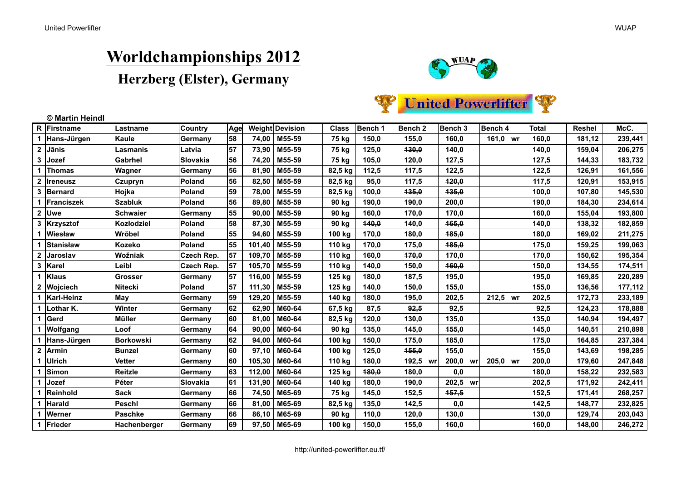### **Worldchampionships 2012**





| R            | Firstname      | Lastname         | Country       | Age |        | Weight Devision  | <b>Class</b> | Bench 1 | Bench <sub>2</sub> | Bench <sub>3</sub> | Bench 4     | <b>Total</b> | <b>Reshel</b> | McC.    |
|--------------|----------------|------------------|---------------|-----|--------|------------------|--------------|---------|--------------------|--------------------|-------------|--------------|---------------|---------|
|              | Hans-Jürgen    | Kaule            | Germany       | 58  | 74,00  | M55-59           | 75 kg        | 150,0   | 155,0              | 160,0              | 161,0 wr    | 160.0        | 181,12        | 239,441 |
| $\mathbf{2}$ | Jānis          | Lasmanis         | Latvia        | 57  | 73,90  | M55-59           | 75 kg        | 125,0   | 130,0              | 140,0              |             | 140,0        | 159,04        | 206,275 |
| 3            | Jozef          | Gabrhel          | Slovakia      | 56  | 74,20  | M55-59           | 75 kg        | 105,0   | 120,0              | 127,5              |             | 127,5        | 144,33        | 183,732 |
|              | Thomas         | Wagner           | ∣Germany      | 56  | 81.90  | M55-59           | 82,5 kg      | 112,5   | 117,5              | 122,5              |             | 122,5        | 126,91        | 161,556 |
| 2            | Ireneusz       | Czupryn          | <b>Poland</b> | 56  | 82,50  | M55-59           | 82,5 kg      | 95,0    | 117,5              | 420,0              |             | 117,5        | 120,91        | 153,915 |
| 3            | <b>Bernard</b> | Hojka            | <b>Poland</b> | 59  | 78,00  | M55-59           | 82,5 kg      | 100,0   | <b>135,0</b>       | 435,0              |             | 100,0        | 107,80        | 145,530 |
|              | Franciszek     | <b>Szabluk</b>   | <b>Poland</b> | 56  | 89.80  | M55-59           | 90 kg        | 190,0   | 190,0              | 200,0              |             | 190,0        | 184,30        | 234,614 |
| $\mathbf{2}$ | <b>Uwe</b>     | <b>Schwaier</b>  | Germany       | 55  | 90,00  | M55-59           | 90 kg        | 160,0   | 470,0              | 470.0              |             | 160.0        | 155,04        | 193,800 |
| 3            | Krzysztof      | Kozłodziel       | <b>Poland</b> | 58  | 87,30  | M55-59           | 90 kg        | 140,0   | 140,0              | 465,0              |             | 140,0        | 138,32        | 182,859 |
|              | Wiesław        | Wrŏbel           | <b>Poland</b> | 55  | 94,60  | M55-59           | 100 kg       | 170,0   | 180,0              | 485,0              |             | 180,0        | 169,02        | 211,275 |
|              | Stanisław      | Kozeko           | <b>Poland</b> | 55  | 101,40 | M55-59           | 110 kg       | 170,0   | 175,0              | 485,0              |             | 175,0        | 159,25        | 199,063 |
| $\mathbf{2}$ | ∣Jaroslav      | Wožniak          | Czech Rep.    | 57  | 109,70 | M55-59           | 110 kg       | 160,0   | 470,0              | 170,0              |             | 170,0        | 150,62        | 195,354 |
| 3            | ∣Karel         | Leibl            | Czech Rep.    | 57  | 105,70 | M55-59           | 110 kg       | 140,0   | 150,0              | 460,0              |             | 150,0        | 134,55        | 174,511 |
|              | Klaus          | Grosser          | Germany       | 57  | 116,00 | M55-59           | 125 kg       | 180,0   | 187,5              | 195,0              |             | 195,0        | 169,85        | 220,289 |
|              | Wojciech       | Nitecki          | <b>Poland</b> | 57  | 111,30 | M55-59           | 125 kg       | 140,0   | 150,0              | 155,0              |             | 155,0        | 136,56        | 177,112 |
|              | Karl-Heinz     | May              | Germany       | 59  | 129,20 | M55-59           | 140 kg       | 180,0   | 195,0              | 202,5              | 212,5<br>wr | 202,5        | 172,73        | 233,189 |
|              | ∣Lothar K.     | Winter           | Germany       | 62  | 62,90  | M60-64           | 67,5 kg      | 87,5    | 92,5               | 92,5               |             | 92,5         | 124,23        | 178,888 |
|              | ∣Gerd          | Müller           | Germany       | 60  | 81.00  | M60-64           | 82,5 kg      | 120,0   | 130,0              | 135,0              |             | 135,0        | 140,94        | 194,497 |
|              | Wolfgang       | Loof             | Germany       | 64  | 90,00  | M60-64           | 90 kg        | 135,0   | 145,0              | 455,0              |             | 145,0        | 140,51        | 210,898 |
|              | Hans-Jürgen    | <b>Borkowski</b> | Germany       | 62  | 94,00  | M60-64           | 100 kg       | 150,0   | 175,0              | 485,0              |             | 175,0        | 164,85        | 237,384 |
| $\mathbf{2}$ | Armin          | <b>Bunzel</b>    | Germany       | 60  | 97.10  | M60-64           | 100 kg       | 125,0   | 155,0              | 155,0              |             | 155,0        | 143,69        | 198,285 |
|              | Ulrich         | Vetter           | Germany       | 60  | 105.30 | M60-64           | 110 kg       | 180,0   | 192,5<br>wrl       | 200,0 wr           | 205,0<br>wr | 200,0        | 179,60        | 247,848 |
|              | Simon          | Reitzle          | Germany       | 63  | 112,00 | M60-64           | 125 kg       | 180,0   | 180,0              | 0,0                |             | 180,0        | 158,22        | 232,583 |
|              | Jozef          | Péter            | Slovakia      | 61  | 131,90 | M60-64           | 140 kg       | 180,0   | 190,0              | 202,5 wr           |             | 202,5        | 171,92        | 242,411 |
|              | Reinhold       | Sack             | Germany       | 66  | 74,50  | M65-69           | 75 kg        | 145,0   | 152,5              | 457,5              |             | 152,5        | 171,41        | 268,257 |
|              | Harald         | Peschl           | Germany       | 66  | 81,00  | M65-69           | 82,5 kg      | 135,0   | 142,5              | 0,0                |             | 142,5        | 148,77        | 232,825 |
|              | <b>Werner</b>  | <b>Paschke</b>   | Germany       | 66  | 86,10  | M65-69           | 90 kg        | 110,0   | 120,0              | 130,0              |             | 130,0        | 129,74        | 203,043 |
| 1            | Frieder        | Hachenberger     | Germany       | 69  |        | $97,50$   M65-69 | 100 kg       | 150,0   | 155,0              | 160,0              |             | 160,0        | 148.00        | 246,272 |